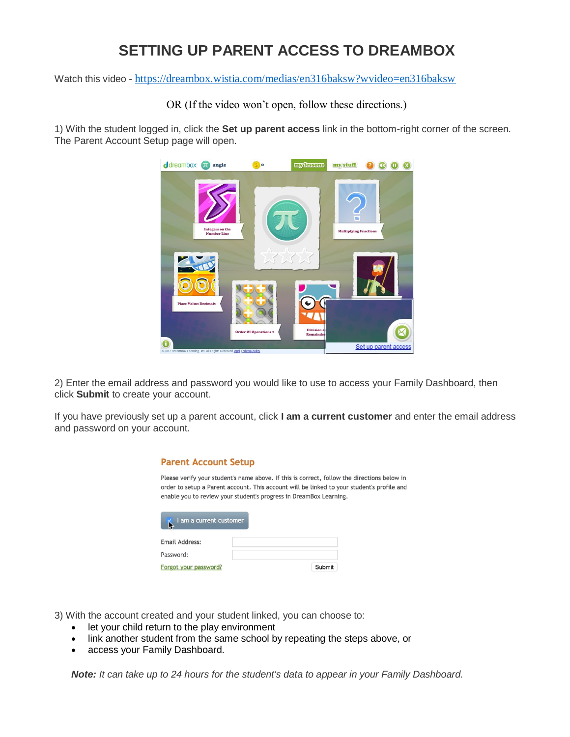#### **SETTING UP PARENT ACCESS TO DREAMBOX**

Watch this video - <https://dreambox.wistia.com/medias/en316baksw?wvideo=en316baksw>

OR (If the video won't open, follow these directions.)

1) With the student logged in, click the **Set up parent access** link in the bottom-right corner of the screen. The Parent Account Setup page will open.



2) Enter the email address and password you would like to use to access your Family Dashboard, then click **Submit** to create your account.

If you have previously set up a parent account, click **I am a current customer** and enter the email address and password on your account.

| <b>Parent Account Setup</b> |                                                                                                                                                                                                                                                                 |  |
|-----------------------------|-----------------------------------------------------------------------------------------------------------------------------------------------------------------------------------------------------------------------------------------------------------------|--|
|                             | Please verify your student's name above. If this is correct, follow the directions below in<br>order to setup a Parent account. This account will be linked to your student's profile and<br>enable you to review your student's progress in DreamBox Learning. |  |
| I am a current customer     |                                                                                                                                                                                                                                                                 |  |
| Email Address:              |                                                                                                                                                                                                                                                                 |  |
| Password:                   |                                                                                                                                                                                                                                                                 |  |
| Forgot your password?       | Submit                                                                                                                                                                                                                                                          |  |

3) With the account created and your student linked, you can choose to:

- let your child return to the play environment
- link another student from the same school by repeating the steps above, or
- access your Family Dashboard.

*Note: It can take up to 24 hours for the student's data to appear in your Family Dashboard.*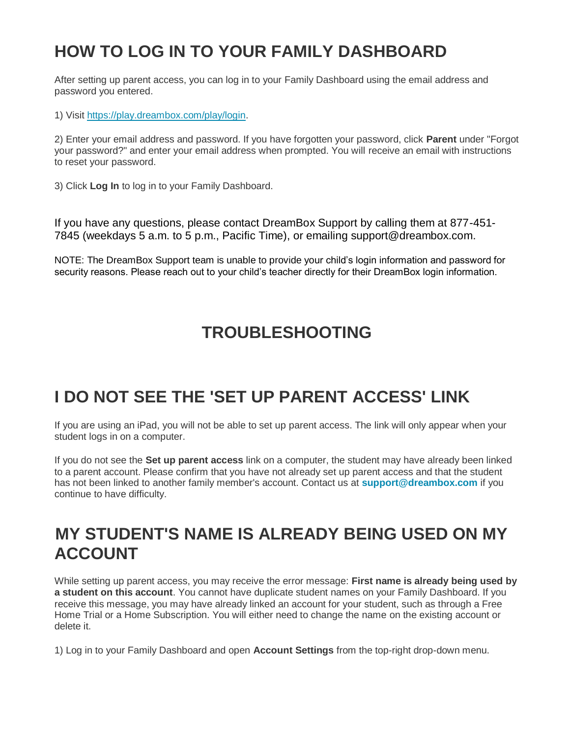## **HOW TO LOG IN TO YOUR FAMILY DASHBOARD**

After setting up parent access, you can log in to your Family Dashboard using the email address and password you entered.

1) Visit [https://play.dreambox.com/play/login.](https://play.dreambox.com/play/login)

2) Enter your email address and password. If you have forgotten your password, click **Parent** under "Forgot your password?" and enter your email address when prompted. You will receive an email with instructions to reset your password.

3) Click **Log In** to log in to your Family Dashboard.

If you have any questions, please contact DreamBox Support by calling them at 877-451- 7845 (weekdays 5 a.m. to 5 p.m., Pacific Time), or emailing support@dreambox.com.

NOTE: The DreamBox Support team is unable to provide your child's login information and password for security reasons. Please reach out to your child's teacher directly for their DreamBox login information.

### **TROUBLESHOOTING**

# **I DO NOT SEE THE 'SET UP PARENT ACCESS' LINK**

If you are using an iPad, you will not be able to set up parent access. The link will only appear when your student logs in on a computer.

If you do not see the **Set up parent access** link on a computer, the student may have already been linked to a parent account. Please confirm that you have not already set up parent access and that the student has not been linked to another family member's account. Contact us at **[support@dreambox.com](mailto:support@dreambox.com)** if you continue to have difficulty.

#### **MY STUDENT'S NAME IS ALREADY BEING USED ON MY ACCOUNT**

While setting up parent access, you may receive the error message: **First name is already being used by a student on this account**. You cannot have duplicate student names on your Family Dashboard. If you receive this message, you may have already linked an account for your student, such as through a Free Home Trial or a Home Subscription. You will either need to change the name on the existing account or delete it.

1) Log in to your Family Dashboard and open **Account Settings** from the top-right drop-down menu.